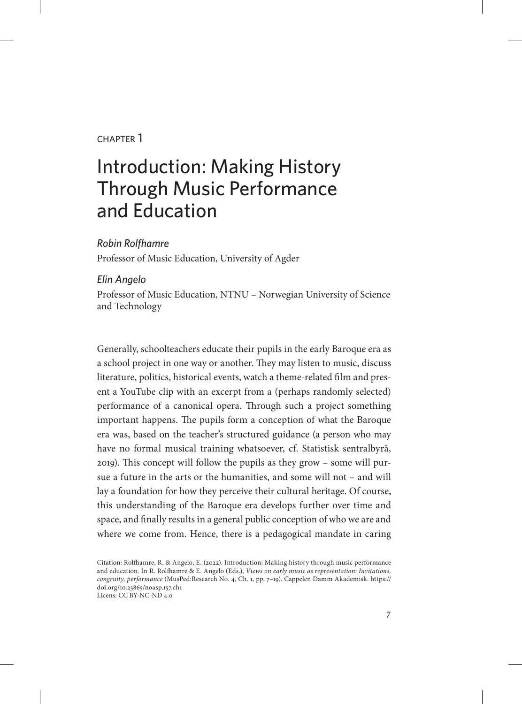#### chapter 1

# Introduction: Making History Through Music Performance and Education

#### *Robin Rolfhamre*

Professor of Music Education, University of Agder

#### *Elin Angelo*

Professor of Music Education, NTNU – Norwegian University of Science and Technology

Generally, schoolteachers educate their pupils in the early Baroque era as a school project in one way or another. They may listen to music, discuss literature, politics, historical events, watch a theme-related film and present a YouTube clip with an excerpt from a (perhaps randomly selected) performance of a canonical opera. Through such a project something important happens. The pupils form a conception of what the Baroque era was, based on the teacher's structured guidance (a person who may have no formal musical training whatsoever, cf. Statistisk sentralbyrå, 2019). This concept will follow the pupils as they grow – some will pursue a future in the arts or the humanities, and some will not – and will lay a foundation for how they perceive their cultural heritage. Of course, this understanding of the Baroque era develops further over time and space, and finally results in a general public conception of who we are and where we come from. Hence, there is a pedagogical mandate in caring

Citation: Rolfhamre, R. & Angelo, E. (2022). Introduction: Making history through music performance and education. In R. Rolfhamre & E. Angelo (Eds.), *Views on early music as representation: Invitations, congruity, performance* (MusPed:Research No. 4, Ch. 1, pp. 7–19). Cappelen Damm Akademisk. https:// doi.org/10.23865/noasp.157.ch1 Licens: CC BY-NC-ND 4.0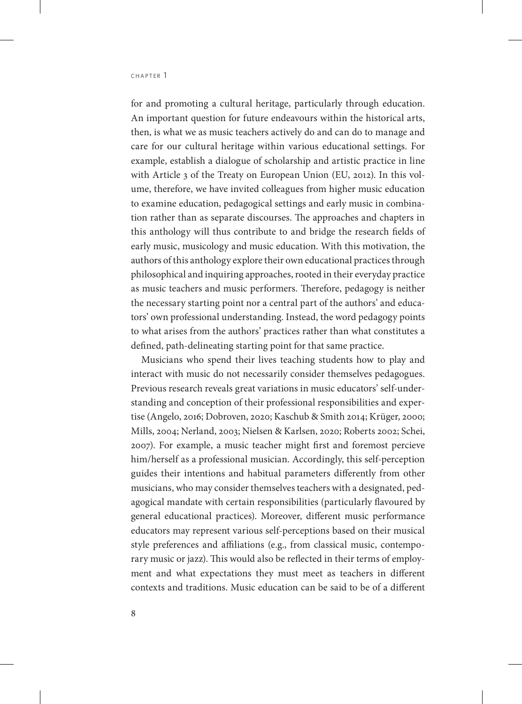for and promoting a cultural heritage, particularly through education. An important question for future endeavours within the historical arts, then, is what we as music teachers actively do and can do to manage and care for our cultural heritage within various educational settings. For example, establish a dialogue of scholarship and artistic practice in line with Article 3 of the Treaty on European Union (EU, 2012). In this volume, therefore, we have invited colleagues from higher music education to examine education, pedagogical settings and early music in combination rather than as separate discourses. The approaches and chapters in this anthology will thus contribute to and bridge the research fields of early music, musicology and music education. With this motivation, the authors of this anthology explore their own educational practices through philosophical and inquiring approaches, rooted in their everyday practice as music teachers and music performers. Therefore, pedagogy is neither the necessary starting point nor a central part of the authors' and educators' own professional understanding. Instead, the word pedagogy points to what arises from the authors' practices rather than what constitutes a defined, path-delineating starting point for that same practice.

Musicians who spend their lives teaching students how to play and interact with music do not necessarily consider themselves pedagogues. Previous research reveals great variations in music educators' self-understanding and conception of their professional responsibilities and expertise (Angelo, 2016; Dobroven, 2020; Kaschub & Smith 2014; Krüger, 2000; Mills, 2004; Nerland, 2003; Nielsen & Karlsen, 2020; Roberts 2002; Schei, 2007). For example, a music teacher might first and foremost percieve him/herself as a professional musician. Accordingly, this self-perception guides their intentions and habitual parameters differently from other musicians, who may consider themselves teachers with a designated, pedagogical mandate with certain responsibilities (particularly flavoured by general educational practices). Moreover, different music performance educators may represent various self-perceptions based on their musical style preferences and affiliations (e.g., from classical music, contemporary music or jazz). This would also be reflected in their terms of employment and what expectations they must meet as teachers in different contexts and traditions. Music education can be said to be of a different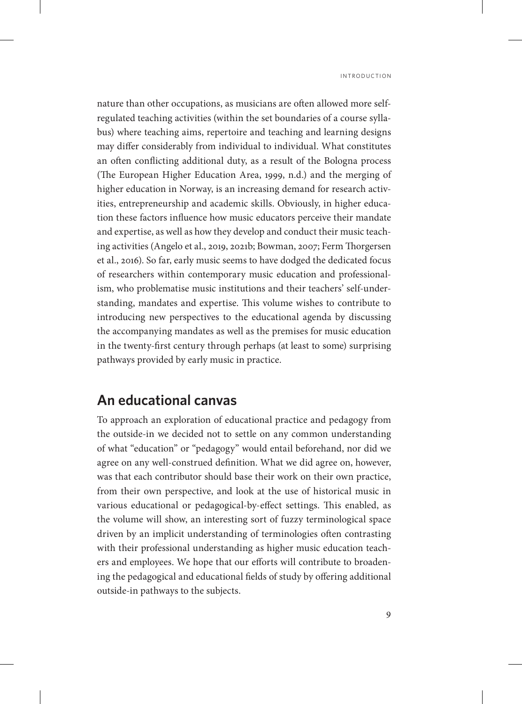nature than other occupations, as musicians are often allowed more selfregulated teaching activities (within the set boundaries of a course syllabus) where teaching aims, repertoire and teaching and learning designs may differ considerably from individual to individual. What constitutes an often conflicting additional duty, as a result of the Bologna process (The European Higher Education Area, 1999, n.d.) and the merging of higher education in Norway, is an increasing demand for research activities, entrepreneurship and academic skills. Obviously, in higher education these factors influence how music educators perceive their mandate and expertise, as well as how they develop and conduct their music teaching activities (Angelo et al., 2019, 2021b; Bowman, 2007; Ferm Thorgersen et al., 2016). So far, early music seems to have dodged the dedicated focus of researchers within contemporary music education and professionalism, who problematise music institutions and their teachers' self-understanding, mandates and expertise. This volume wishes to contribute to introducing new perspectives to the educational agenda by discussing the accompanying mandates as well as the premises for music education in the twenty-first century through perhaps (at least to some) surprising pathways provided by early music in practice.

#### **An educational canvas**

To approach an exploration of educational practice and pedagogy from the outside-in we decided not to settle on any common understanding of what "education" or "pedagogy" would entail beforehand, nor did we agree on any well-construed definition. What we did agree on, however, was that each contributor should base their work on their own practice, from their own perspective, and look at the use of historical music in various educational or pedagogical-by-effect settings. This enabled, as the volume will show, an interesting sort of fuzzy terminological space driven by an implicit understanding of terminologies often contrasting with their professional understanding as higher music education teachers and employees. We hope that our efforts will contribute to broadening the pedagogical and educational fields of study by offering additional outside-in pathways to the subjects.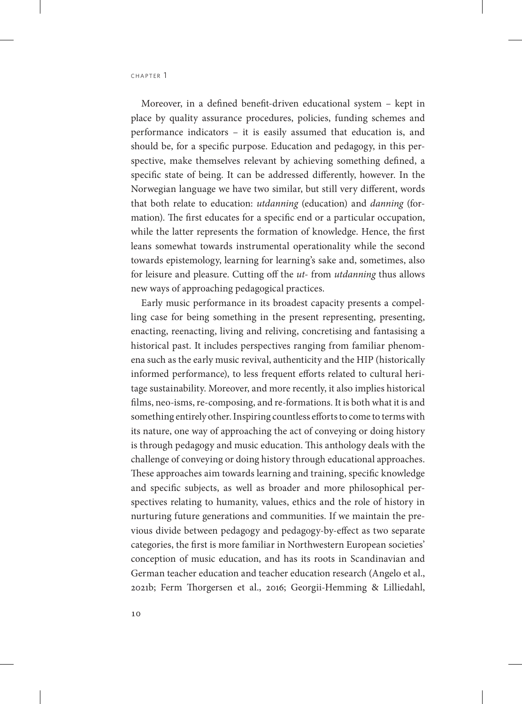Moreover, in a defined benefit-driven educational system – kept in place by quality assurance procedures, policies, funding schemes and performance indicators – it is easily assumed that education is, and should be, for a specific purpose. Education and pedagogy, in this perspective, make themselves relevant by achieving something defined, a specific state of being. It can be addressed differently, however. In the Norwegian language we have two similar, but still very different, words that both relate to education: *utdanning* (education) and *danning* (formation). The first educates for a specific end or a particular occupation, while the latter represents the formation of knowledge. Hence, the first leans somewhat towards instrumental operationality while the second towards epistemology, learning for learning's sake and, sometimes, also for leisure and pleasure. Cutting off the *ut-* from *utdanning* thus allows new ways of approaching pedagogical practices.

Early music performance in its broadest capacity presents a compelling case for being something in the present representing, presenting, enacting, reenacting, living and reliving, concretising and fantasising a historical past. It includes perspectives ranging from familiar phenomena such as the early music revival, authenticity and the HIP (historically informed performance), to less frequent efforts related to cultural heritage sustainability. Moreover, and more recently, it also implies historical films, neo-isms, re-composing, and re-formations. It is both what it is and something entirely other. Inspiring countless efforts to come to terms with its nature, one way of approaching the act of conveying or doing history is through pedagogy and music education. This anthology deals with the challenge of conveying or doing history through educational approaches. These approaches aim towards learning and training, specific knowledge and specific subjects, as well as broader and more philosophical perspectives relating to humanity, values, ethics and the role of history in nurturing future generations and communities. If we maintain the previous divide between pedagogy and pedagogy-by-effect as two separate categories, the first is more familiar in Northwestern European societies' conception of music education, and has its roots in Scandinavian and German teacher education and teacher education research (Angelo et al., 2021b; Ferm Thorgersen et al., 2016; Georgii-Hemming & Lilliedahl,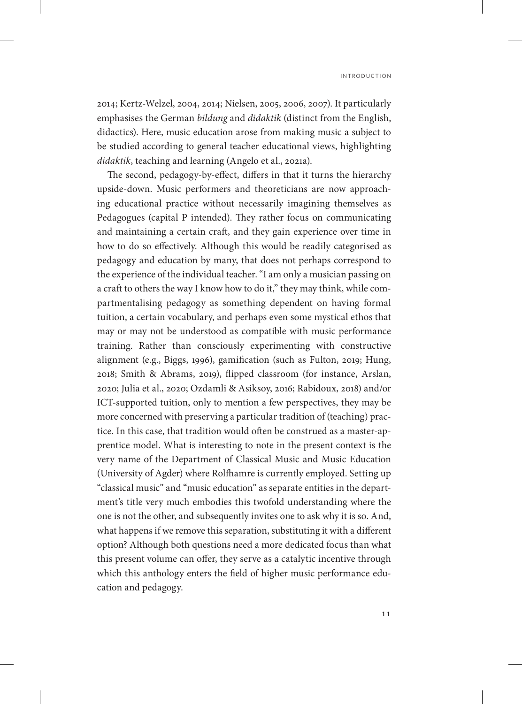2014; Kertz-Welzel, 2004, 2014; Nielsen, 2005, 2006, 2007). It particularly emphasises the German *bildung* and *didaktik* (distinct from the English, didactics). Here, music education arose from making music a subject to be studied according to general teacher educational views, highlighting *didaktik*, teaching and learning (Angelo et al., 2021a).

The second, pedagogy-by-effect, differs in that it turns the hierarchy upside-down. Music performers and theoreticians are now approaching educational practice without necessarily imagining themselves as Pedagogues (capital P intended). They rather focus on communicating and maintaining a certain craft, and they gain experience over time in how to do so effectively. Although this would be readily categorised as pedagogy and education by many, that does not perhaps correspond to the experience of the individual teacher. "I am only a musician passing on a craft to others the way I know how to do it," they may think, while compartmentalising pedagogy as something dependent on having formal tuition, a certain vocabulary, and perhaps even some mystical ethos that may or may not be understood as compatible with music performance training. Rather than consciously experimenting with constructive alignment (e.g., Biggs, 1996), gamification (such as Fulton, 2019; Hung, 2018; Smith & Abrams, 2019), flipped classroom (for instance, Arslan, 2020; Julia et al., 2020; Ozdamli & Asiksoy, 2016; Rabidoux, 2018) and/or ICT-supported tuition, only to mention a few perspectives, they may be more concerned with preserving a particular tradition of (teaching) practice. In this case, that tradition would often be construed as a master-apprentice model. What is interesting to note in the present context is the very name of the Department of Classical Music and Music Education (University of Agder) where Rolfhamre is currently employed. Setting up "classical music" and "music education" as separate entities in the department's title very much embodies this twofold understanding where the one is not the other, and subsequently invites one to ask why it is so. And, what happens if we remove this separation, substituting it with a different option? Although both questions need a more dedicated focus than what this present volume can offer, they serve as a catalytic incentive through which this anthology enters the field of higher music performance education and pedagogy.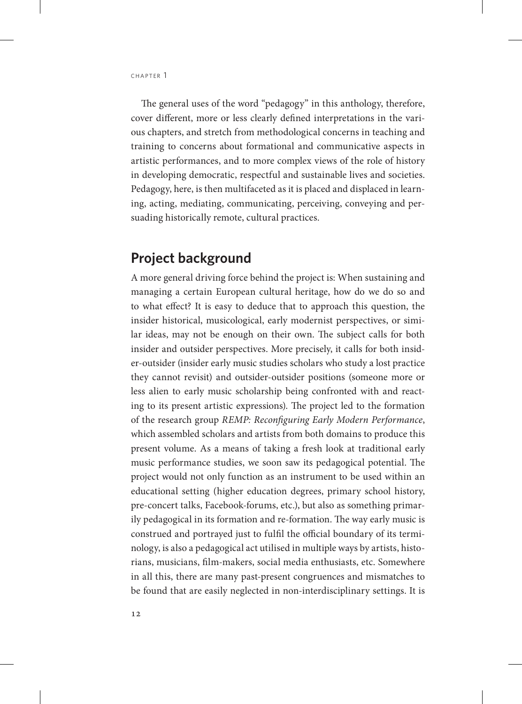The general uses of the word "pedagogy" in this anthology, therefore, cover different, more or less clearly defined interpretations in the various chapters, and stretch from methodological concerns in teaching and training to concerns about formational and communicative aspects in artistic performances, and to more complex views of the role of history in developing democratic, respectful and sustainable lives and societies. Pedagogy, here, is then multifaceted as it is placed and displaced in learning, acting, mediating, communicating, perceiving, conveying and persuading historically remote, cultural practices.

## **Project background**

A more general driving force behind the project is: When sustaining and managing a certain European cultural heritage, how do we do so and to what effect? It is easy to deduce that to approach this question, the insider historical, musicological, early modernist perspectives, or similar ideas, may not be enough on their own. The subject calls for both insider and outsider perspectives. More precisely, it calls for both insider-outsider (insider early music studies scholars who study a lost practice they cannot revisit) and outsider-outsider positions (someone more or less alien to early music scholarship being confronted with and reacting to its present artistic expressions). The project led to the formation of the research group *REMP: Reconfiguring Early Modern Performance*, which assembled scholars and artists from both domains to produce this present volume. As a means of taking a fresh look at traditional early music performance studies, we soon saw its pedagogical potential. The project would not only function as an instrument to be used within an educational setting (higher education degrees, primary school history, pre-concert talks, Facebook-forums, etc.), but also as something primarily pedagogical in its formation and re-formation. The way early music is construed and portrayed just to fulfil the official boundary of its terminology, is also a pedagogical act utilised in multiple ways by artists, historians, musicians, film-makers, social media enthusiasts, etc. Somewhere in all this, there are many past-present congruences and mismatches to be found that are easily neglected in non-interdisciplinary settings. It is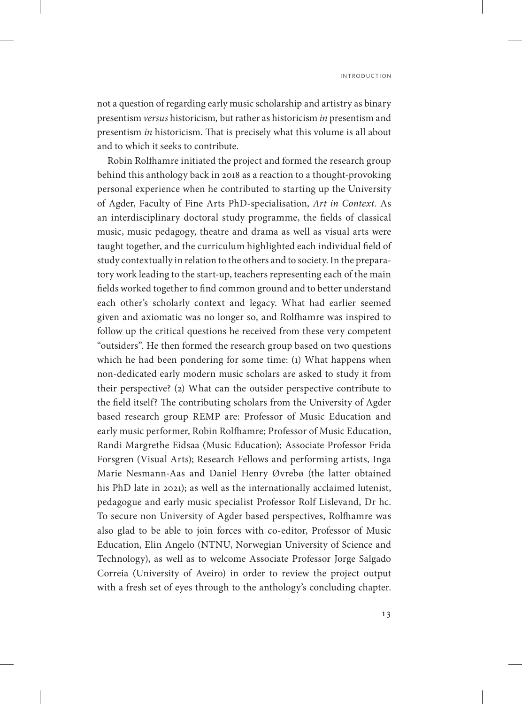not a question of regarding early music scholarship and artistry as binary presentism *versus* historicism*,* but rather as historicism *in* presentism and presentism *in* historicism. That is precisely what this volume is all about and to which it seeks to contribute.

Robin Rolfhamre initiated the project and formed the research group behind this anthology back in 2018 as a reaction to a thought-provoking personal experience when he contributed to starting up the University of Agder, Faculty of Fine Arts PhD-specialisation, *Art in Context.* As an interdisciplinary doctoral study programme, the fields of classical music, music pedagogy, theatre and drama as well as visual arts were taught together, and the curriculum highlighted each individual field of study contextually in relation to the others and to society. In the preparatory work leading to the start-up, teachers representing each of the main fields worked together to find common ground and to better understand each other's scholarly context and legacy. What had earlier seemed given and axiomatic was no longer so, and Rolfhamre was inspired to follow up the critical questions he received from these very competent "outsiders". He then formed the research group based on two questions which he had been pondering for some time: (1) What happens when non-dedicated early modern music scholars are asked to study it from their perspective? (2) What can the outsider perspective contribute to the field itself? The contributing scholars from the University of Agder based research group REMP are: Professor of Music Education and early music performer, Robin Rolfhamre; Professor of Music Education, Randi Margrethe Eidsaa (Music Education); Associate Professor Frida Forsgren (Visual Arts); Research Fellows and performing artists, Inga Marie Nesmann-Aas and Daniel Henry Øvrebø (the latter obtained his PhD late in 2021); as well as the internationally acclaimed lutenist, pedagogue and early music specialist Professor Rolf Lislevand, Dr hc. To secure non University of Agder based perspectives, Rolfhamre was also glad to be able to join forces with co-editor, Professor of Music Education, Elin Angelo (NTNU, Norwegian University of Science and Technology), as well as to welcome Associate Professor Jorge Salgado Correia (University of Aveiro) in order to review the project output with a fresh set of eyes through to the anthology's concluding chapter.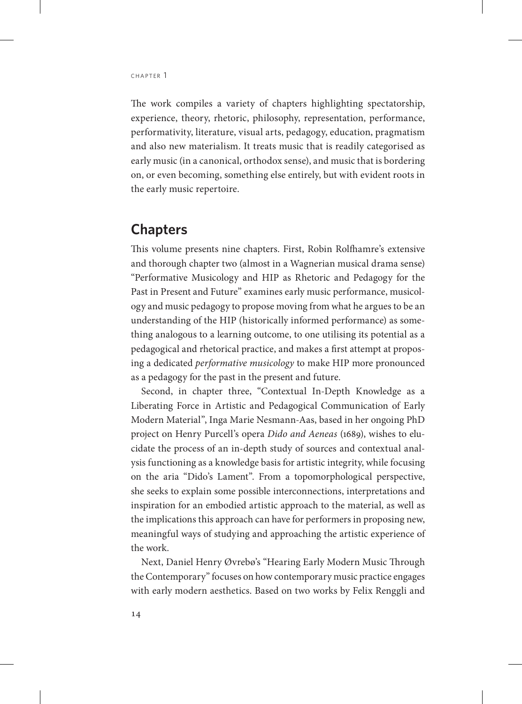The work compiles a variety of chapters highlighting spectatorship, experience, theory, rhetoric, philosophy, representation, performance, performativity, literature, visual arts, pedagogy, education, pragmatism and also new materialism. It treats music that is readily categorised as early music (in a canonical, orthodox sense), and music that is bordering on, or even becoming, something else entirely, but with evident roots in the early music repertoire.

#### **Chapters**

This volume presents nine chapters. First, Robin Rolfhamre's extensive and thorough chapter two (almost in a Wagnerian musical drama sense) "Performative Musicology and HIP as Rhetoric and Pedagogy for the Past in Present and Future" examines early music performance, musicology and music pedagogy to propose moving from what he argues to be an understanding of the HIP (historically informed performance) as something analogous to a learning outcome, to one utilising its potential as a pedagogical and rhetorical practice, and makes a first attempt at proposing a dedicated *performative musicology* to make HIP more pronounced as a pedagogy for the past in the present and future.

Second, in chapter three, "Contextual In-Depth Knowledge as a Liberating Force in Artistic and Pedagogical Communication of Early Modern Material", Inga Marie Nesmann-Aas, based in her ongoing PhD project on Henry Purcell's opera *Dido and Aeneas* (1689), wishes to elucidate the process of an in-depth study of sources and contextual analysis functioning as a knowledge basis for artistic integrity, while focusing on the aria "Dido's Lament". From a topomorphological perspective, she seeks to explain some possible interconnections, interpretations and inspiration for an embodied artistic approach to the material, as well as the implications this approach can have for performers in proposing new, meaningful ways of studying and approaching the artistic experience of the work.

Next, Daniel Henry Øvrebø's "Hearing Early Modern Music Through the Contemporary" focuses on how contemporary music practice engages with early modern aesthetics. Based on two works by Felix Renggli and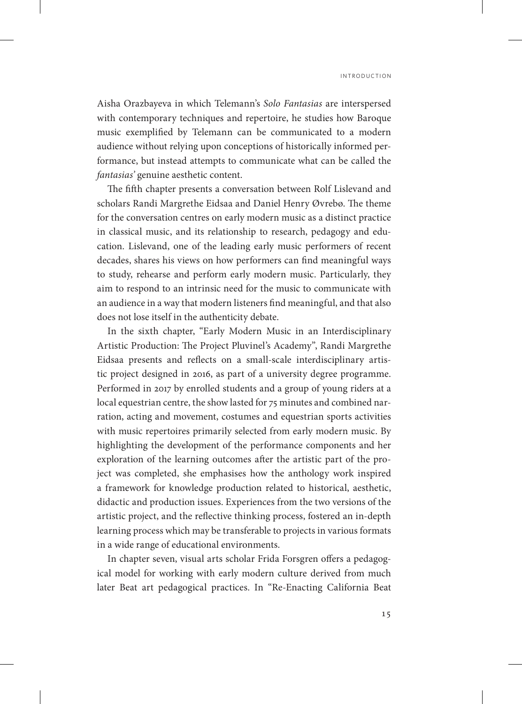i n t r o d u c t i o n

Aisha Orazbayeva in which Telemann's *Solo Fantasias* are interspersed with contemporary techniques and repertoire, he studies how Baroque music exemplified by Telemann can be communicated to a modern audience without relying upon conceptions of historically informed performance, but instead attempts to communicate what can be called the *fantasias'* genuine aesthetic content.

The fifth chapter presents a conversation between Rolf Lislevand and scholars Randi Margrethe Eidsaa and Daniel Henry Øvrebø. The theme for the conversation centres on early modern music as a distinct practice in classical music, and its relationship to research, pedagogy and education. Lislevand, one of the leading early music performers of recent decades, shares his views on how performers can find meaningful ways to study, rehearse and perform early modern music. Particularly, they aim to respond to an intrinsic need for the music to communicate with an audience in a way that modern listeners find meaningful, and that also does not lose itself in the authenticity debate.

In the sixth chapter, "Early Modern Music in an Interdisciplinary Artistic Production: The Project Pluvinel's Academy", Randi Margrethe Eidsaa presents and reflects on a small-scale interdisciplinary artistic project designed in 2016, as part of a university degree programme. Performed in 2017 by enrolled students and a group of young riders at a local equestrian centre, the show lasted for 75 minutes and combined narration, acting and movement, costumes and equestrian sports activities with music repertoires primarily selected from early modern music. By highlighting the development of the performance components and her exploration of the learning outcomes after the artistic part of the project was completed, she emphasises how the anthology work inspired a framework for knowledge production related to historical, aesthetic, didactic and production issues. Experiences from the two versions of the artistic project, and the reflective thinking process, fostered an in-depth learning process which may be transferable to projects in various formats in a wide range of educational environments.

In chapter seven, visual arts scholar Frida Forsgren offers a pedagogical model for working with early modern culture derived from much later Beat art pedagogical practices. In "Re-Enacting California Beat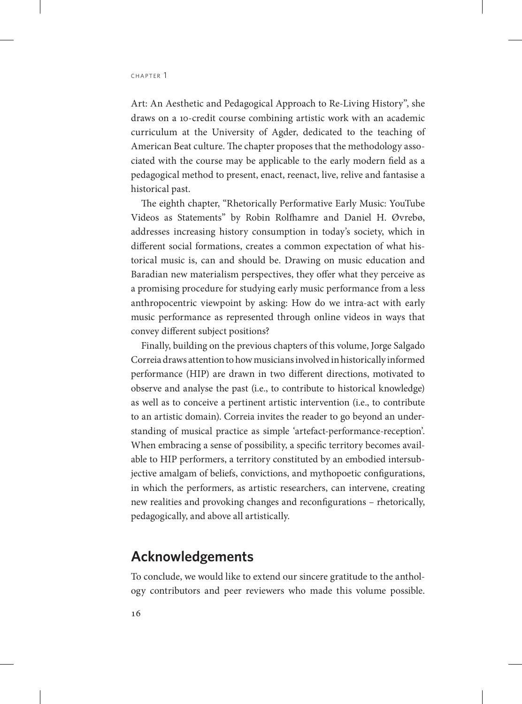CHAPTER 1

Art: An Aesthetic and Pedagogical Approach to Re-Living History", she draws on a 10-credit course combining artistic work with an academic curriculum at the University of Agder, dedicated to the teaching of American Beat culture. The chapter proposes that the methodology associated with the course may be applicable to the early modern field as a pedagogical method to present, enact, reenact, live, relive and fantasise a historical past.

The eighth chapter, "Rhetorically Performative Early Music: YouTube Videos as Statements" by Robin Rolfhamre and Daniel H. Øvrebø, addresses increasing history consumption in today's society, which in different social formations, creates a common expectation of what historical music is, can and should be. Drawing on music education and Baradian new materialism perspectives, they offer what they perceive as a promising procedure for studying early music performance from a less anthropocentric viewpoint by asking: How do we intra-act with early music performance as represented through online videos in ways that convey different subject positions?

Finally, building on the previous chapters of this volume, Jorge Salgado Correia draws attention to how musicians involved in historically informed performance (HIP) are drawn in two different directions, motivated to observe and analyse the past (i.e., to contribute to historical knowledge) as well as to conceive a pertinent artistic intervention (i.e., to contribute to an artistic domain). Correia invites the reader to go beyond an understanding of musical practice as simple 'artefact-performance-reception'. When embracing a sense of possibility, a specific territory becomes available to HIP performers, a territory constituted by an embodied intersubjective amalgam of beliefs, convictions, and mythopoetic configurations, in which the performers, as artistic researchers, can intervene, creating new realities and provoking changes and reconfigurations – rhetorically, pedagogically, and above all artistically.

## **Acknowledgements**

To conclude, we would like to extend our sincere gratitude to the anthology contributors and peer reviewers who made this volume possible.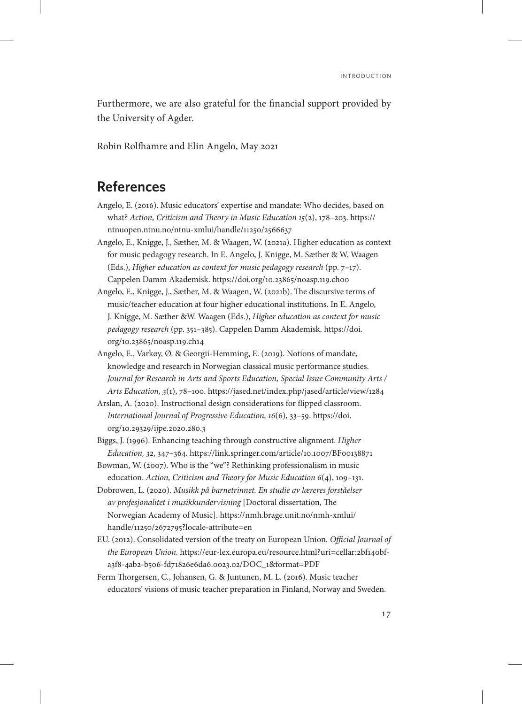Furthermore, we are also grateful for the financial support provided by the University of Agder.

Robin Rolfhamre and Elin Angelo, May 2021

### **References**

- Angelo, E. (2016). Music educators' expertise and mandate: Who decides, based on what? *Action, Criticism and Theory in Music Education 15*(2), 178–203. [https://](https://ntnuopen.ntnu.no/ntnu-xmlui/handle/11250/2566637) [ntnuopen.ntnu.no/ntnu-xmlui/handle/11250/2566637](https://ntnuopen.ntnu.no/ntnu-xmlui/handle/11250/2566637)
- Angelo, E., Knigge, J., Sæther, M. & Waagen, W. (2021a). Higher education as context for music pedagogy research. In E. Angelo, J. Knigge, M. Sæther & W. Waagen (Eds.), *Higher education as context for music pedagogy research* (pp. 7–17). Cappelen Damm Akademisk. <https://doi.org/10.23865/noasp.119.ch00>
- Angelo, E., Knigge, J., Sæther, M. & Waagen, W. (2021b). The discursive terms of music/teacher education at four higher educational institutions. In E. Angelo, J. Knigge, M. Sæther &W. Waagen (Eds.), *Higher education as context for music pedagogy research* (pp. 351–385). Cappelen Damm Akademisk. [https://doi.](https://doi.org/10.23865/noasp.119.ch14) [org/10.23865/noasp.119.ch14](https://doi.org/10.23865/noasp.119.ch14)
- Angelo, E., Varkøy, Ø. & Georgii-Hemming, E. (2019). Notions of mandate, knowledge and research in Norwegian classical music performance studies. *Journal for Research in Arts and Sports Education, Special Issue Community Arts / Arts Education, 3*(1), 78–100.<https://jased.net/index.php/jased/article/view/1284>
- Arslan, A. (2020). Instructional design considerations for flipped classroom. *International Journal of Progressive Education, 16*(6), 33–59. [https://doi.](https://doi.org/10.29329/ijpe.2020.280.3) [org/10.29329/ijpe.2020.280.3](https://doi.org/10.29329/ijpe.2020.280.3)
- Biggs, J. (1996). Enhancing teaching through constructive alignment. *Higher Education, 32*, 347–364.<https://link.springer.com/article/10.1007/BF00138871>
- Bowman, W. (2007). Who is the "we"? Rethinking professionalism in music education. *Action, Criticism and Theory for Music Education 6*(4), 109–131.
- Dobrowen, L. (2020). *Musikk på barnetrinnet. En studie av læreres forståelser av profesjonalitet i musikkundervisning* [Doctoral dissertation, The Norwegian Academy of Music]. [https://nmh.brage.unit.no/nmh-xmlui/](https://nmh.brage.unit.no/nmh-xmlui/handle/11250/2672795?locale-attribute=en) [handle/11250/2672795?locale-attribute=en](https://nmh.brage.unit.no/nmh-xmlui/handle/11250/2672795?locale-attribute=en)
- EU. (2012). Consolidated version of the treaty on European Union*. Official Journal of the European Union.* [https://eur-lex.europa.eu/resource.html?uri=cellar:2bf140bf](https://eur-lex.europa.eu/resource.html?uri=cellar:2bf140bf-a3f8-4ab2-b506-fd71826e6da6.0023.02/DOC_1&format=PDF)[a3f8-4ab2-b506-fd71826e6da6.0023.02/DOC\\_1&format=PDF](https://eur-lex.europa.eu/resource.html?uri=cellar:2bf140bf-a3f8-4ab2-b506-fd71826e6da6.0023.02/DOC_1&format=PDF)
- Ferm Thorgersen, C., Johansen, G. & Juntunen, M. L. (2016). Music teacher educators' visions of music teacher preparation in Finland, Norway and Sweden.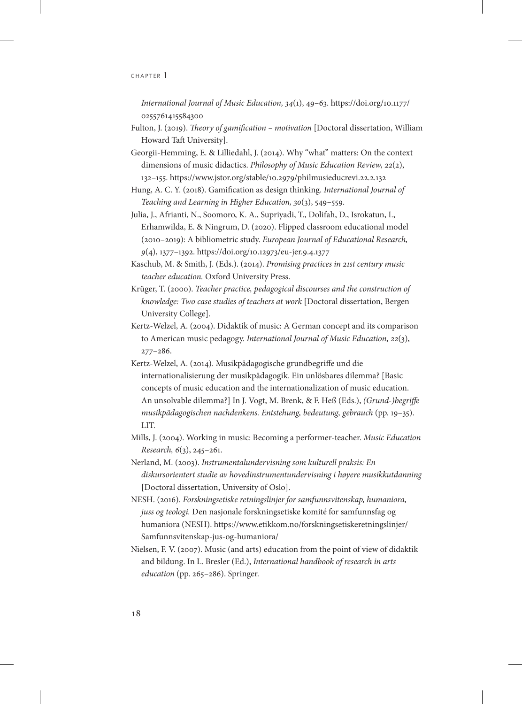*International Journal of Music Education, 34*(1), 49–63. [https://doi.org/10.1177/](https://doi.org/10.1177/0255761415584300) [0255761415584300](https://doi.org/10.1177/0255761415584300)

- Fulton, J. (2019). *Theory of gamification motivation* [Doctoral dissertation, William Howard Taft University].
- Georgii-Hemming, E. & Lilliedahl, J. (2014). Why "what" matters: On the context dimensions of music didactics. *Philosophy of Music Education Review, 22*(2), 132–155. <https://www.jstor.org/stable/10.2979/philmusieducrevi.22.2.132>
- Hung, A. C. Y. (2018). Gamification as design thinking. *International Journal of Teaching and Learning in Higher Education, 30*(3), 549–559.
- Julia, J., Afrianti, N., Soomoro, K. A., Supriyadi, T., Dolifah, D., Isrokatun, I., Erhamwilda, E. & Ningrum, D. (2020). Flipped classroom educational model (2010–2019): A bibliometric study. *European Journal of Educational Research, 9*(4), 1377–1392.<https://doi.org/10.12973/eu-jer.9.4.1377>
- Kaschub, M. & Smith, J. (Eds.). (2014). *Promising practices in 21st century music teacher education.* Oxford University Press.
- Krüger, T. (2000). *Teacher practice, pedagogical discourses and the construction of knowledge: Two case studies of teachers at work* [Doctoral dissertation, Bergen University College].
- Kertz-Welzel, A. (2004). Didaktik of music: A German concept and its comparison to American music pedagogy. *International Journal of Music Education, 22*(3), 277–286.
- Kertz-Welzel, A. (2014). Musikpädagogische grundbegriffe und die internationalisierung der musikpädagogik. Ein unlösbares dilemma? [Basic concepts of music education and the internationalization of music education. An unsolvable dilemma?] In J. Vogt, M. Brenk, & F. Heß (Eds.), *(Grund-)begriffe musikpädagogischen nachdenkens. Entstehung, bedeutung, gebrauch* (pp. 19–35). LIT.
- Mills, J. (2004). Working in music: Becoming a performer-teacher. *Music Education Research, 6*(3), 245–261.
- Nerland, M. (2003). *Instrumentalundervisning som kulturell praksis: En diskursorientert studie av hovedinstrumentundervisning i høyere musikkutdanning*  [Doctoral dissertation, University of Oslo].
- NESH. (2016). *Forskningsetiske retningslinjer for samfunnsvitenskap, humaniora, juss og teologi.* Den nasjonale forskningsetiske komité for samfunnsfag og humaniora (NESH). [https://www.etikkom.no/forskningsetiskeretningslinjer/](https://www.etikkom.no/forskningsetiskeretningslinjer/Samfunnsvitenskap-jus-og-humaniora/) [Samfunnsvitenskap-jus-og-humaniora/](https://www.etikkom.no/forskningsetiskeretningslinjer/Samfunnsvitenskap-jus-og-humaniora/)
- Nielsen, F. V. (2007). Music (and arts) education from the point of view of didaktik and bildung. In L. Bresler (Ed.), *International handbook of research in arts education* (pp. 265–286). Springer.